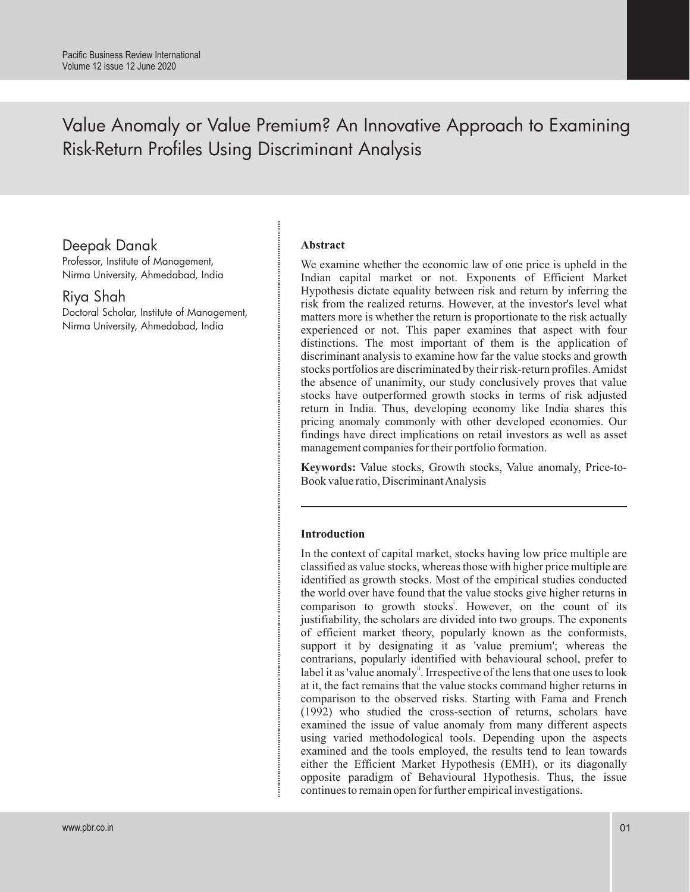# Value Anomaly or Value Premium? An Innovative Approach to Examining Risk-Return Profiles Using Discriminant Analysis

## Deepak Danak

Professor, Institute of Management, Nirma University, Ahmedabad, India

Riya Shah

Doctoral Scholar, Institute of Management, Nirma University, Ahmedabad, India

### **Abstract**

We examine whether the economic law of one price is upheld in the Indian capital market or not. Exponents of Efficient Market Hypothesis dictate equality between risk and return by inferring the risk from the realized returns. However, at the investor's level what matters more is whether the return is proportionate to the risk actually experienced or not. This paper examines that aspect with four distinctions. The most important of them is the application of discriminant analysis to examine how far the value stocks and growth stocks portfolios are discriminated by their risk-return profiles. Amidst the absence of unanimity, our study conclusively proves that value stocks have outperformed growth stocks in terms of risk adjusted return in India. Thus, developing economy like India shares this pricing anomaly commonly with other developed economies. Our findings have direct implications on retail investors as well as asset management companies for their portfolio formation.

**Keywords:** Value stocks, Growth stocks, Value anomaly, Price-to-Book value ratio, Discriminant Analysis

### **Introduction**

In the context of capital market, stocks having low price multiple are classified as value stocks, whereas those with higher price multiple are identified as growth stocks. Most of the empirical studies conducted the world over have found that the value stocks give higher returns in comparison to growth stocks<sup>1</sup>. However, on the count of its justifiability, the scholars are divided into two groups. The exponents of efficient market theory, popularly known as the conformists, support it by designating it as 'value premium'; whereas the contrarians, popularly identified with behavioural school, prefer to label it as 'value anomaly". Irrespective of the lens that one uses to look at it, the fact remains that the value stocks command higher returns in comparison to the observed risks. Starting with Fama and French (1992) who studied the cross-section of returns, scholars have examined the issue of value anomaly from many different aspects using varied methodological tools. Depending upon the aspects examined and the tools employed, the results tend to lean towards either the Efficient Market Hypothesis (EMH), or its diagonally opposite paradigm of Behavioural Hypothesis. Thus, the issue continues to remain open for further empirical investigations.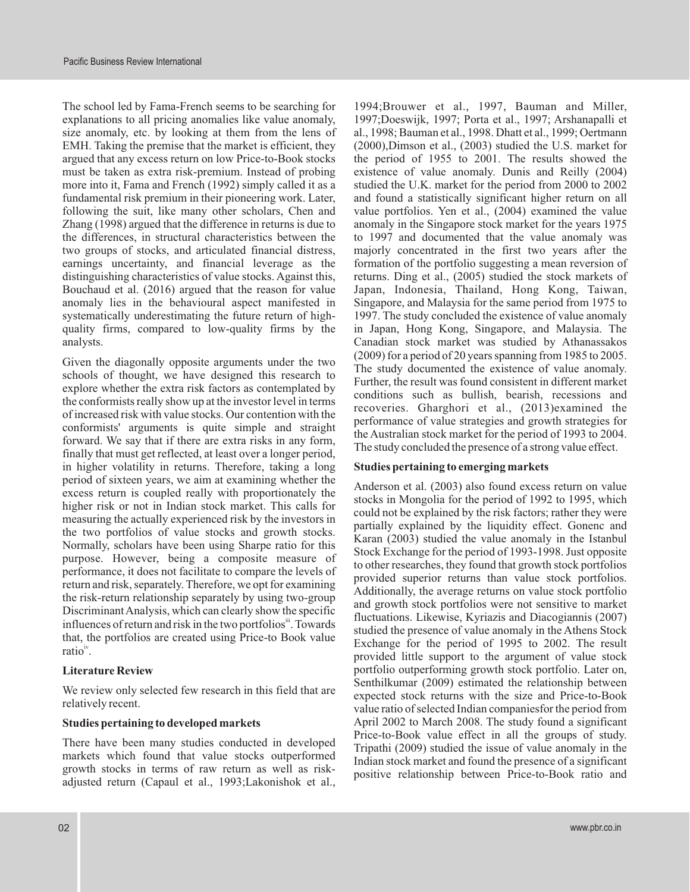The school led by Fama-French seems to be searching for 1994;Brouwer et al., 1997, Bauman and Miller, explanations to all pricing anomalies like value anomaly, 1997;Doeswijk, 1997; Porta et al., 1997; Arshanapalli et size anomaly, etc. by looking at them from the lens of al., 1998; Bauman et al., 1998. Dhatt et al., 1999; Oertmann EMH. Taking the premise that the market is efficient, they (2000),Dimson et al., (2003) studied the U.S. market for argued that any excess return on low Price-to-Book stocks the period of 1955 to 2001. The results showed the must be taken as extra risk-premium. Instead of probing existence of value anomaly. Dunis and Reilly (2004) more into it, Fama and French (1992) simply called it as a studied the U.K. market for the period from 2000 to 2002 fundamental risk premium in their pioneering work. Later, and found a statistically significant higher return on all following the suit, like many other scholars, Chen and value portfolios. Yen et al., (2004) examined the value Zhang (1998) argued that the difference in returns is due to anomaly in the Singapore stock market for the years 1975 the differences, in structural characteristics between the to 1997 and documented that the value anomaly was two groups of stocks, and articulated financial distress, majorly concentrated in the first two years after the earnings uncertainty, and financial leverage as the formation of the portfolio suggesting a mean reversion of distinguishing characteristics of value stocks. Against this, returns. Ding et al., (2005) studied the stock markets of Bouchaud et al. (2016) argued that the reason for value Japan, Indonesia, Thailand, Hong Kong, Taiwan, anomaly lies in the behavioural aspect manifested in Singapore, and Malaysia for the same period from 1975 to systematically underestimating the future return of high-<br>1997. The study concluded the existence of value anomaly quality firms, compared to low-quality firms by the in Japan, Hong Kong, Singapore, and Malaysia. The

of increased risk with value stocks. Our contention with the<br>conformists' arguments is quite simple and straight<br>forward. We say that if there are extra risks in any form,<br>finally that must get reflected, at least over a l in higher volatility in returns. Therefore, taking a long **Studies pertaining to emerging markets** period of sixteen years, we aim at examining whether the<br>excess return is coupled really with proportionately the<br> $\frac{1000}{1000}$  and  $\frac{1000}{1000}$  and  $\frac{1000}{1000}$  and  $\frac{11}{1000}$ excess return is coupled really with proportionately the<br>higher risk or not in Indian stock market. This calls for<br>measuring the actually experienced risk by the investors in<br>the two portfolios of value stocks and growth s purpose. However, being a composite measure of<br>performance, it does not facilitate to compare the levels of<br>return and risk, separately. Therefore, we opt for examining<br>the risk-return relationship separately by using two-Discriminant Analysis, which can clearly show the specific<br>influences of return and risk in the two portfolios<sup>ii</sup>. Towards<br>that, the portfolios are created using Price-to Book value<br>ratio<sup>iv</sup>.<br>In the specific studied the

There have been many studies conducted in developed<br>markets which found that value stocks outperformed<br>growth stocks in terms of raw return as well as risk-<br>adjusted return (Capaul et al., 1993;Lakonishok et al.,

analysts.<br>
Canadian stock market was studied by Athanassakos<br>
Canadian stock market was studied by Athanassakos<br>
Canadian stock market was studied by Athanassakos Given the diagonally opposite arguments under the two<br>schools of thought, we have designed this research to<br>explore whether the extra risk factors as contemplated by<br>the schools of thought, we have designed this research recoveries. Gharghori et al., (2013)examined the

provided little support to the argument of value stock **Literature Review** portfolio outperforming growth stock portfolio. Later on,<br>Senthilkumar (2009) estimated the relationship between We review only selected few research in this field that are<br>relatively recent.<br>with the size and Price-to-Book<br>value ratio of selected Indian companies for the period from **Studies pertaining to developed markets** April 2002 to March 2008. The study found a significant Price-to-Book value effect in all the groups of study.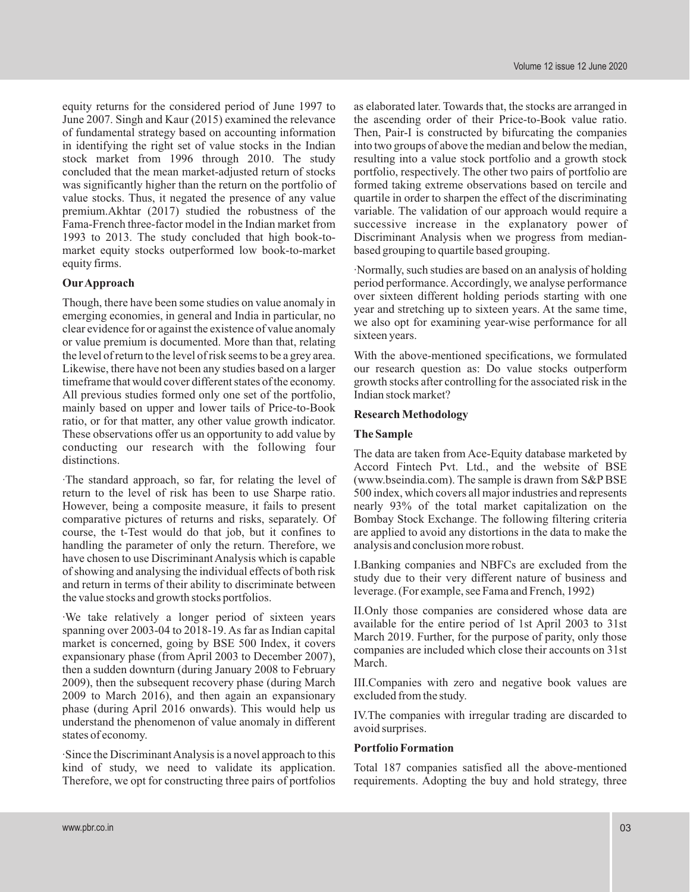equity returns for the considered period of June 1997 to as elaborated later. Towards that, the stocks are arranged in June 2007. Singh and Kaur (2015) examined the relevance the ascending order of their Price-to-Book value ratio. of fundamental strategy based on accounting information Then, Pair-I is constructed by bifurcating the companies in identifying the right set of value stocks in the Indian into two groups of above the median and below the median, stock market from 1996 through 2010. The study resulting into a value stock portfolio and a growth stock concluded that the mean market-adjusted return of stocks portfolio, respectively. The other two pairs of portfolio are was significantly higher than the return on the portfolio of formed taking extreme observations based on tercile and value stocks. Thus, it negated the presence of any value quartile in order to sharpen the effect of the discriminating premium.Akhtar (2017) studied the robustness of the variable. The validation of our approach would require a Fama-French three-factor model in the Indian market from successive increase in the explanatory power of 1993 to 2013. The study concluded that high book-to-<br>market Discriminant Analysis when we progress from median-<br>market equity stocks outperformed low book-to-market based grouping to quartile based grouping. market equity stocks outperformed low book-to-market

emerging economies, in general and India in particular, no clear evidence for or against the existence of value anomaly we also opt is<br>or value premium is documented. More than that, relating sixteen years. the level of return to the level of risk seems to be a grey area. With the above-mentioned specifications, we formulated Likewise, there have not been any studies based on a larger our research question as: Do value stocks outperform timeframe that would cover different states of the economy. growth stocks after controlling for the associated risk in the All previous studies formed only one set of the portfolio, Indian stock market?<br>mainly based on upper and lower tails of Price-to-Book mainly based on upper and lower tails of Price-to-Book **Research Methodology** ratio, or for that matter, any other value growth indicator. These observations offer us an opportunity to add value by **The Sample** conducting our research with the following four

·The standard approach, so far, for relating the level of (www.bseindia.com). The sample is drawn from S&PBSE return to the level of risk has been to use Sharpe ratio. 500 index, which covers all major industries and represents However, being a composite measure, it fails to present nearly 93% of the total market capitalization on the comparative pictures of returns and risks, separately. Of Bombay Stock Exchange. The following filtering criteria course, the t-Test would do that job, but it confines to are applied to avoid any distortions in the data to make the handling the parameter of only the return. Therefore, we analysis and conclusion more robust. have chosen to use Discriminant Analysis which is capable<br>of showing and analysing the individual effects of both risk<br>and return in terms of their ability to discriminate between<br>the value stocks and growth stocks portfol

We take relatively a longer period of sixteen years<br>spanning over 2003-04 to 2018-19. As far as Indian capital<br>market is concerned, going by BSE 500 Index, it covers<br>expansionary phase (from April 2003 to December 2007),<br>t 2009), then the subsequent recovery phase (during March III.Companies with zero and negative book values are 2009 to March 2016), and then again an expansionary excluded from the study. phase (during April 2016 onwards). This would help us IV. The companies with irregular trading are discarded to understand the phenomenon of value anomaly in different avoid surprises.

**Portfolio Formation** ·Since the Discriminant Analysis is a novel approach to this kind of study, we need to validate its application. Total 187 companies satisfied all the above-mentioned Therefore, we opt for constructing three pairs of portfolios requirements. Adopting the buy and hold strategy, three

equity firms. **Our Approach** period performance. Accordingly, we analyse performance Though, there have been some studies on value anomaly in over sixteen different holding periods starting with one year and stretching up to sixteen years. At the same time,

The data are taken from Ace-Equity database marketed by Accord Fintech Pvt. Ltd., and the website of BSE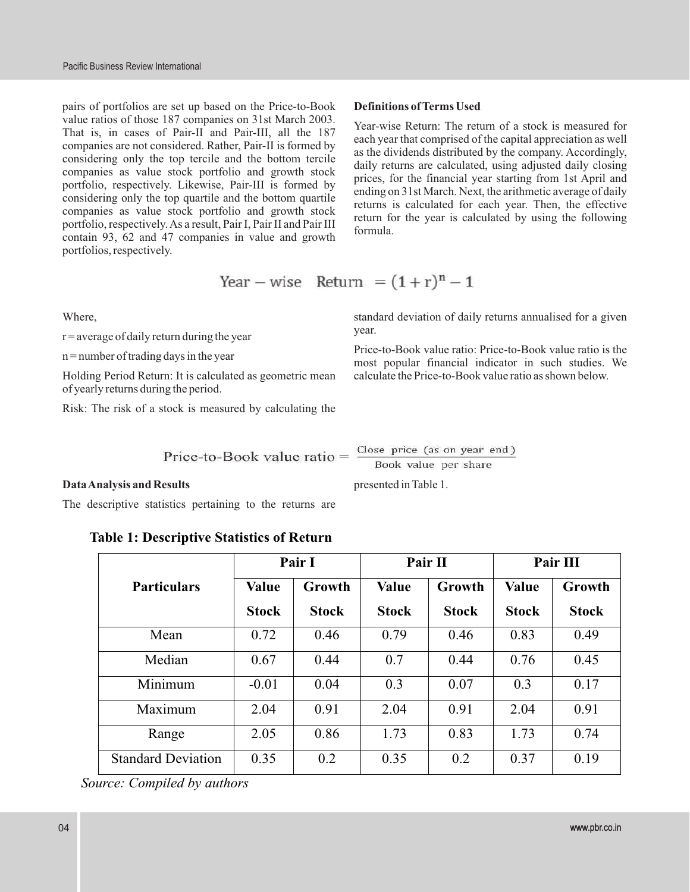pairs of portfolios are set up based on the Price-to-Book **Definitions of Terms Used** value ratios of those 187 companies on 31st March 2003. That is, in cases of Pair-II and Pair-III, all the 187<br>
companies are not considered. Rather, Pair-II is formed by<br>
as the dividends distributed by the company. Accordingly, considering only the top tercile and the bottom tercile<br>companies as value stock portfolio and growth stock<br>portfolio, respectively. Likewise, Pair-III is formed by<br>considering from 1st April and<br>considering only the top q portfolios, respectively.

Year – wise Return = 
$$
(1+r)^n - 1
$$

 $r =$  average of daily return during the year

Holding Period Return: It is calculated as geometric mean calculate the Price-to-Book value ratio as shown below. of yearly returns during the period.

Risk: The risk of a stock is measured by calculating the

Where, standard deviation of daily returns annualised for a given year.

Price-to-Book value ratio: Price-to-Book value ratio is the n=number of trading days in the year<br>most popular financial indicator in such studies. We

Price-to-Book value ratio =  $\frac{\text{Close price (as on year end)}}{\text{Book value per share}}$ 

### **Data Analysis and Results** presented in Table 1.

The descriptive statistics pertaining to the returns are

### **Table 1: Descriptive Statistics of Return**

|                           | Pair I       |              | Pair II      |              | Pair III     |              |
|---------------------------|--------------|--------------|--------------|--------------|--------------|--------------|
| <b>Particulars</b>        | <b>Value</b> | Growth       | <b>Value</b> | Growth       | <b>Value</b> | Growth       |
|                           | <b>Stock</b> | <b>Stock</b> | <b>Stock</b> | <b>Stock</b> | <b>Stock</b> | <b>Stock</b> |
| Mean                      | 0.72         | 0.46         | 0.79         | 0.46         | 0.83         | 0.49         |
| Median                    | 0.67         | 0.44         | 0.7          | 0.44         | 0.76         | 0.45         |
| Minimum                   | $-0.01$      | 0.04         | 0.3          | 0.07         | 0.3          | 0.17         |
| Maximum                   | 2.04         | 0.91         | 2.04         | 0.91         | 2.04         | 0.91         |
| Range                     | 2.05         | 0.86         | 1.73         | 0.83         | 1.73         | 0.74         |
| <b>Standard Deviation</b> | 0.35         | 0.2          | 0.35         | 0.2          | 0.37         | 0.19         |

*Source: Compiled by authors*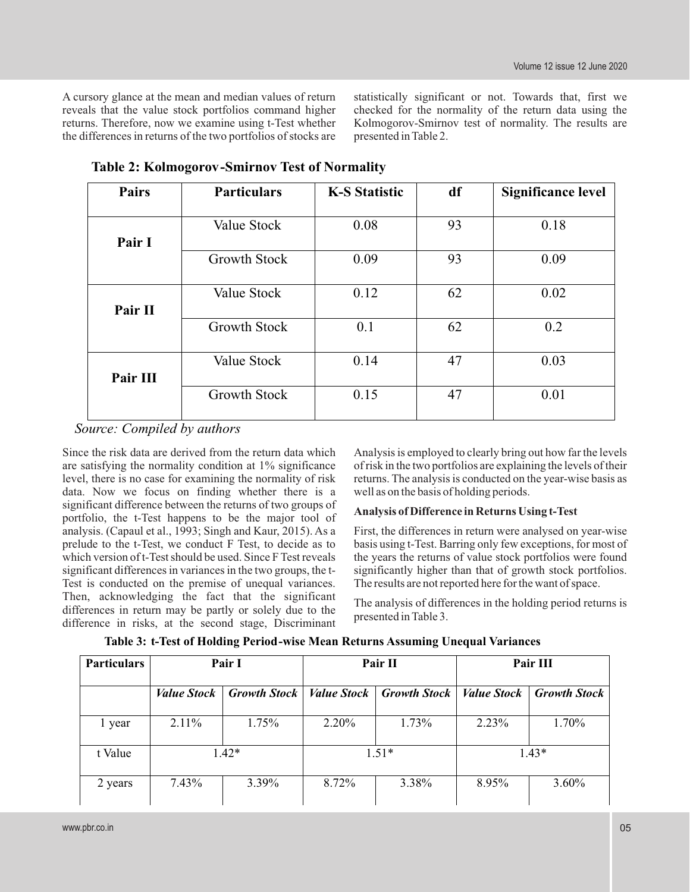the differences in returns of the two portfolios of stocks are presented in Table 2.

A cursory glance at the mean and median values of return statistically significant or not. Towards that, first we reveals that the value stock portfolios command higher checked for the normality of the return data using the returns. Therefore, now we examine using t-Test whether Kolmogorov-Smirnov test of normality. The results are Kolmogorov-Smirnov test of normality. The results are

| <b>Pairs</b> | <b>Particulars</b>  | <b>K-S Statistic</b> | df | <b>Significance level</b> |
|--------------|---------------------|----------------------|----|---------------------------|
|              |                     |                      |    |                           |
|              | Value Stock         | 0.08                 | 93 | 0.18                      |
| Pair I       |                     |                      |    |                           |
|              | <b>Growth Stock</b> | 0.09                 | 93 | 0.09                      |
|              |                     |                      |    |                           |
|              | Value Stock         | 0.12                 | 62 | 0.02                      |
| Pair II      |                     |                      |    |                           |
|              | <b>Growth Stock</b> | 0.1                  | 62 | 0.2                       |
|              |                     |                      |    |                           |
|              | Value Stock         | 0.14                 | 47 | 0.03                      |
| Pair III     |                     |                      |    |                           |
|              | <b>Growth Stock</b> | 0.15                 | 47 | 0.01                      |
|              |                     |                      |    |                           |

**Table 2: Kolmogorov-Smirnov Test of Normality**

*Source: Compiled by authors*

are satisfying the normality condition at 1% significance of risk in the two portfolios are explaining the levels of their<br>level, there is no case for examining the normality of risk returns. The analysis is conducted on t data. Now we focus on finding whether there is a well as on the basis of holding periods.<br>significant difference between the returns of two groups of significant difference between the returns of two groups of **Analysis of Difference in Returns Using t-Test** portfolio, the t-Test happens to be the major tool of analysis. (Capaul et al., 1993; Singh and Kaur, 2015). As a First, the differences in return were analysed on year-wise prelude to the t-Test, we conduct F Test, to decide as to basis using t-Test. Barring only few exceptions, for most of which version of t-Test should be used. Since F Test reveals the years the returns of value stock portf significant differences in variances in the two groups, the t-<br>significantly higher than that of growth stock portfolios. Test is conducted on the premise of unequal variances. The results are not reported here for the want of space. Then, acknowledging the fact that the significant The analysis of differences in the holding period returns is differences in return may be partly or solely due to the presented in Table 3. difference in risks, at the second stage, Discriminant

Since the risk data are derived from the return data which Analysis is employed to clearly bring out how far the levels are satisfying the normality condition at 1% significance of risk in the two portfolios are explaining returns. The analysis is conducted on the year-wise basis as

the years the returns of value stock portfolios were found

| <b>Particulars</b> | Pair I             |                     | Pair II            |                     | Pair III           |                     |
|--------------------|--------------------|---------------------|--------------------|---------------------|--------------------|---------------------|
|                    | <b>Value Stock</b> | <b>Growth Stock</b> | <b>Value Stock</b> | <b>Growth Stock</b> | <i>Value Stock</i> | <b>Growth Stock</b> |
| l year             | $2.11\%$           | 1.75%               | 2.20%              | 1.73%               | 2.23%              | 1.70%               |
| t Value            | $1.42*$            |                     | $1.51*$            |                     | $1.43*$            |                     |
| 2 years            | $7.43\%$           | 3.39%               | 8.72%              | 3.38%               | 8.95%              | 3.60%               |

**Table 3: t-Test of Holding Period-wise Mean Returns Assuming Unequal Variances**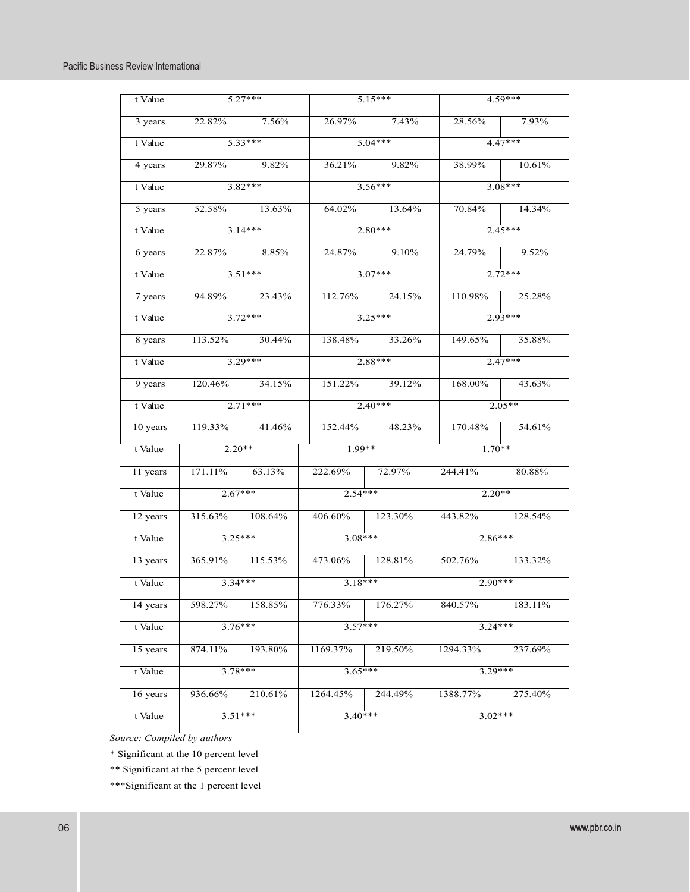| t Value  |                           | $5.27***$         |                | $5.15***$            |                | $4.59***$       |  |
|----------|---------------------------|-------------------|----------------|----------------------|----------------|-----------------|--|
| 3 years  |                           | 22.82% 7.56%      |                | 26.97% 7.43%         |                | 28.56% 7.93%    |  |
| t Value  |                           | $5.33***$         |                | $5.04***$            |                | $4.47***$       |  |
| 4 years  |                           | 29.87% 9.82%      |                | 36.21% 9.82%         |                | 38.99% 10.61%   |  |
| t Value  | $3.82***$                 |                   |                | $3.56***$            | $3.08***$      |                 |  |
| 5 years  |                           | 52.58% 13.63%     |                | 64.02% 13.64%        |                | 70.84% 14.34%   |  |
| t Value  | $\frac{3.14***}{3.14***}$ |                   | $2.80***$      |                      | $2.45***$      |                 |  |
| 6 years  |                           | 22.87% 8.85%      |                | 24.87% 9.10%         |                | 24.79% 9.52%    |  |
| t Value  |                           | $3.51***$         |                | $3.07***$            |                | $2.72***$       |  |
| 7 years  |                           | 94.89% 23.43%     |                | 112.76% 24.15%       |                | 110.98% 25.28%  |  |
| t Value  | $3.72***$                 |                   |                | $3.25***$            |                | $2.93***$       |  |
| 8 years  | 113.52% 30.44%            |                   |                | 138.48% 33.26%       |                | 149.65% 35.88%  |  |
| t Value  | $3.29***$                 |                   |                | $2.88***$            | $2.47***$      |                 |  |
| 9 years  |                           | 120.46% 34.15%    |                | 151.22% 39.12%       |                | 168.00% 43.63%  |  |
| t Value  | $2.71***$                 |                   |                | $2.40***$            |                | $2.05**$        |  |
| 10 years |                           | $119.33\%$ 41.46% |                | $152.44\%$ $48.23\%$ |                | 170.48% 54.61%  |  |
| t Value  | $2.20**$                  |                   | $1.99**$       |                      | $1.70**$       |                 |  |
| 11 years | $171.11\%$ 63.13%         |                   | 222.69% 72.97% |                      | 244.41% 80.88% |                 |  |
| t Value  | $2.67***$                 |                   | $2.54***$      |                      | $2.20**$       |                 |  |
| 12 years | $315.63\%$ 108.64%        |                   |                | 406.60% 123.30%      |                | 443.82% 128.54% |  |
| t Value  | $3.25***$                 |                   | $3.08***$      |                      |                | $2.86***$       |  |
| 13 years | $365.91\%$ $115.53\%$     |                   |                | 473.06% 128.81%      |                | 502.76% 133.32% |  |
| t Value  | $3.34***$                 |                   | $3.18***$      |                      |                | $2.90***$       |  |
| 14 years | 598.27%                   | 158.85%           | 776.33%        | 176.27%              | 840.57%        | 183.11%         |  |
| t Value  | $3.76***$                 |                   | $3.57***$      |                      |                | $3.24***$       |  |
| 15 years | 874.11%                   | 193.80%           | 1169.37%       | 219.50%              | 1294.33%       | 237.69%         |  |
| t Value  | $3.78***$                 |                   | $3.65***$      |                      |                | $3.29***$       |  |
| 16 years | 936.66%                   | 210.61%           | 1264.45%       | 244.49%              | 1388.77%       | 275.40%         |  |
| t Value  | $3.51***$                 |                   | $3.40***$      |                      |                | $3.02***$       |  |

*Source: Compiled by authors*

\* Significant at the 10 percent level

\*\* Significant at the 5 percent level

\*\*\*Significant at the 1 percent level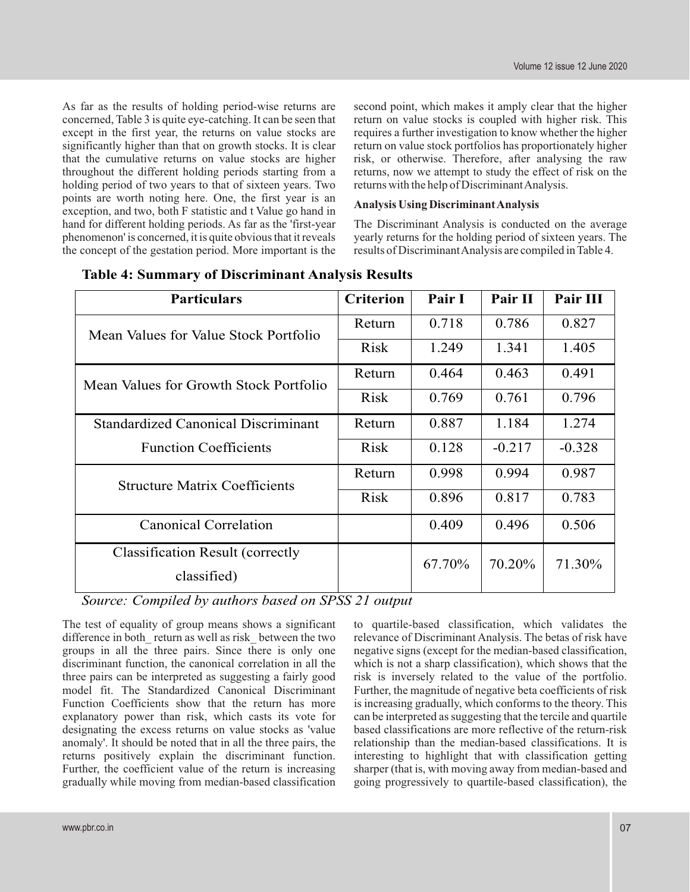concerned, Table 3 is quite eye-catching. It can be seen that return on value stocks is coupled with higher risk. This except in the first year, the returns on value stocks are requires a further investigation to know whether the higher significantly higher than that on growth stocks. It is clear return on value stock portfolios has proportionately higher that the cumulative returns on value stocks are higher risk, or otherwise. Therefore, after analysing the raw throughout the different holding periods starting from a returns, now we attempt to study the effect of risk on the holding period of two years to that of sixteen years. Two returns with the help of Discriminant Analysis. points are worth noting here. One, the first year is an **Analysis Using Discriminant Analysis** exception, and two, both F statistic and t Value go hand in hand for different holding periods. As far as the 'first-year The Discriminant Analysis is conducted on the average phenomenon' is concerned, it is quite obvious that it reveals yearly returns for the holding period of sixteen years. The the concept of the gestation period. More important is the results of Discriminant Analysis are comp the concept of the gestation period. More important is the

As far as the results of holding period-wise returns are second point, which makes it amply clear that the higher

| <b>Particulars</b>                                     | <b>Criterion</b> | Pair I | Pair II  | Pair III |
|--------------------------------------------------------|------------------|--------|----------|----------|
| Mean Values for Value Stock Portfolio                  | Return           | 0.718  | 0.786    | 0.827    |
|                                                        | <b>Risk</b>      | 1.249  | 1.341    | 1.405    |
| Mean Values for Growth Stock Portfolio                 | Return           | 0.464  | 0.463    | 0.491    |
|                                                        | <b>Risk</b>      | 0.769  | 0.761    | 0.796    |
| <b>Standardized Canonical Discriminant</b>             | Return           | 0.887  | 1.184    | 1.274    |
| <b>Function Coefficients</b>                           | <b>Risk</b>      | 0.128  | $-0.217$ | $-0.328$ |
| <b>Structure Matrix Coefficients</b>                   | Return           | 0.998  | 0.994    | 0.987    |
|                                                        | <b>Risk</b>      | 0.896  | 0.817    | 0.783    |
| <b>Canonical Correlation</b>                           |                  | 0.409  | 0.496    | 0.506    |
| <b>Classification Result (correctly</b><br>classified) |                  | 67.70% | 70.20%   | 71.30%   |

|  |  |  | <b>Table 4: Summary of Discriminant Analysis Results</b> |  |
|--|--|--|----------------------------------------------------------|--|
|--|--|--|----------------------------------------------------------|--|

*Source: Compiled by authors based on SPSS 21 output*

The test of equality of group means shows a significant to quartile-based classification, which validates the difference in both return as well as risk between the two relevance of Discriminant Analysis. The betas of risk difference in both return as well as risk between the two groups in all the three pairs. Since there is only one negative signs (except for the median-based classification, discriminant function, the canonical correlation in all the which is not a sharp classification), which shows that the three pairs can be interpreted as suggesting a fairly good risk is inversely related to the value of the portfolio. model fit. The Standardized Canonical Discriminant Further, the magnitude of negative beta coefficients of risk Function Coefficients show that the return has more is increasing gradually, which conforms to the theory. This explanatory power than risk, which casts its vote for can be interpreted as suggesting that the tercile and quartile designating the excess returns on value stocks as 'value based classifications are more reflective of the return-risk anomaly'. It should be noted that in all the three pairs, the relationship than the median-based classifications. It is returns positively explain the discriminant function. interesting to highlight that with classification getting<br>Further, the coefficient value of the return is increasing sharper (that is, with moving away from median-base gradually while moving from median-based classification going progressively to quartile-based classification), the

sharper (that is, with moving away from median-based and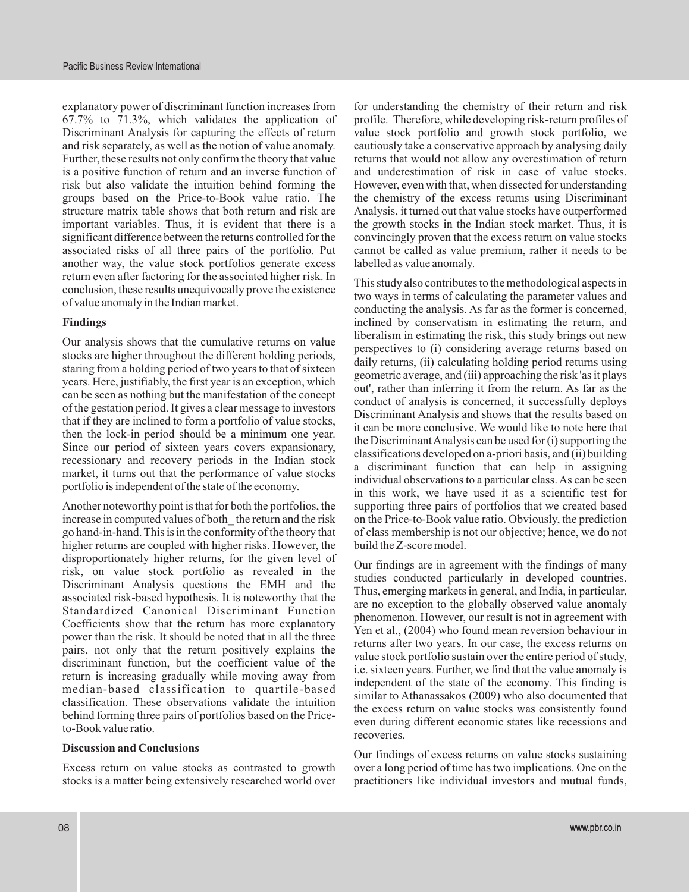explanatory power of discriminant function increases from for understanding the chemistry of their return and risk 67.7% to 71.3%, which validates the application of profile. Therefore, while developing risk-return profiles of Discriminant Analysis for capturing the effects of return value stock portfolio and growth stock portfolio, we and risk separately, as well as the notion of value anomaly. cautiously take a conservative approach by analysing daily Further, these results not only confirm the theory that value returns that would not allow any overestimation of return is a positive function of return and an inverse function of and underestimation of risk in case of value stocks. risk but also validate the intuition behind forming the However, even with that, when dissected for understanding groups based on the Price-to-Book value ratio. The the chemistry of the excess returns using Discriminant structure matrix table shows that both return and risk are Analysis, it turned out that value stocks have outperformed important variables. Thus, it is evident that there is a the growth stocks in the Indian stock market. Thus, it is significant difference between the returns controlled for the convincingly proven that the excess return on value stocks associated risks of all three pairs of the portfolio. Put cannot be called as value premium, rather it needs to be another way, the value stock portfolios generate excess labelled as value anomaly. return even after factoring for the associated higher risk. In<br>conclusion, these results unequivocally prove the existence<br>of value anomaly in the Indian market.<br>conducting the analysis. As far as the former is concerned,

years. Here, justifiably, the first year is an exception, which can be seen as nothing but the manifestation of the concept out', rather than inferring it from the return. As far as the can be seen as nothing but the manif

increase in computed values of both the return and the risk on the Price-to-Book value ratio. Obviously, the prediction go hand-in-hand. This is in the conformity of the theory that of class membership is not our objective; hence, we do not higher returns are coupled with higher risks. However, the build the Z-score model. disproportionately higher returns, for the given level of<br>risk, on value stock portfolio as revealed in the<br>Discriminant Analysis questions the EMH and the<br>associated risk-based hypothesis. It is noteworthy that the<br>displa associated risk-based hyponesis. It is noteworthly that the are no exception to the globally observed value anomaly Standardized Canonical Discriminant Function phenomenon. However, our result is not in agreement with Coefficients show that the return has more explanatory<br>power than the risk. It should be noted that in all the three<br>pairs, not only that the return positively explains the<br>discriminant function, but the coefficient value median-based classification to quartile-based classification. These observations validate the intuition<br>behind forming three pairs of portfolios based on the Price-<br>http://www.com/step-2009/who also documented that<br>the excess return on value stocks was consistently fo

stocks is a matter being extensively researched world over practitioners like individual investors and mutual funds,

**Findings** inclined by conservatism in estimating the return, and Our analysis shows that the cumulative returns on value<br>stocks are higher throughout the different holding periods,<br>staring from a holding period of two years to that of sixteen<br>staring from a holding period of two years t can be seen as nothing but the manifestation of the concept<br>of the gestation period. It gives a clear message to investors<br>that if they are inclined to form a portfolio of value stocks,<br>then the lock-in period should be a recessionary and recovery periods in the Indian stock<br>market, it turns out that the performance of value stocks<br>portfolio is independent of the state of the economy.<br>in this work, we have used it as a scientific test for Another noteworthy point is that for both the portfolios, the supporting three pairs of portfolios that we created based

even during different economic states like recessions and to-Book value ratio.

**Discussion and Conclusions Our findings of excess returns on value stocks sustaining** Excess return on value stocks as contrasted to growth over a long period of time has two implications. One on the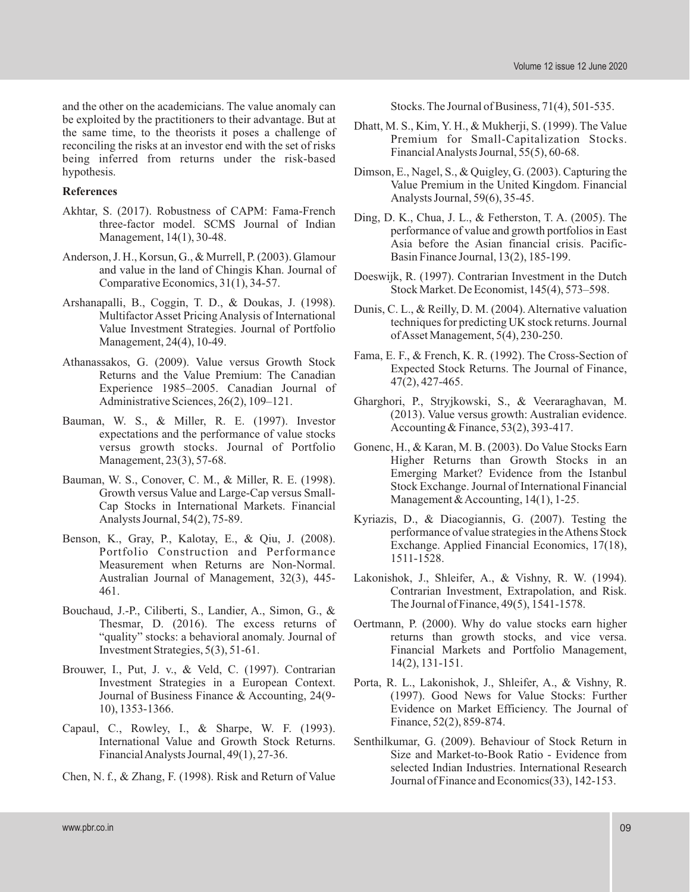and the other on the academicians. The value anomaly can Stocks. The Journal of Business, 71(4), 501-535. be exploited by the practitioners to their advantage. But at<br>the same time, to the theorists it poses a challenge of Premium for Small-Capitalization Stocks.<br>Premium for Small-Capitalization Stocks. reconciling the risks at an investor end with the set of risks<br>being inferred from returns under the risk-based Financial Analysts Journal, 55(5), 60-68. hypothesis. Dimson, E., Nagel, S., & Quigley, G. (2003). Capturing the

- Akhtar, S. (2017). Robustness of CAPM: Fama-French<br>three-factor model. SCMS Journal of Indian<br>Management, 14(1), 30-48.<br>Asia before the Asian financial crisis. Pacific-
- Anderson, J. H., Korsun, G., & Murrell, P. (2003). Glamour Basin Finance Journal, 13(2), 185-199.<br>and value in the land of Chingis Khan. Journal of
- Superinted by D. M. (2004). Alternative valuation<br>
Multifactor Asset Pricing Analysis of International<br>
Value Investment Strategies. Journal of Portfolio<br>
Management, 24(4), 10-49.<br>
Controlling Controlling Controlling Cont
- Athanassakos, G. (2009). Value versus Growth Stock<br>Returns and the Value Premium: The Canadian<br>Expected Stock Returns. The Journal of Finance,<br>Experience 1985–2005. Canadian Journal of 47(2), 427-465.
- Bauman, W. S., & Miller, R. E. (1997). Investor<br>expectations and the performance of value stocks<br>versus growth stocks. Journal of Portfolio Gonenc, H., & Karan, M. B. (2003). Do Value S
- 
- Measurement when Returns are Non-Normal.
- Bouchaud, J.-P., Ciliberti, S., Landier, A., Simon, G., & The Journal of Finance, 49(5), 1541-1578.<br>The smar, D. (2016). The excess returns of Oertmann, P. (2000). Why do value stocks earn
- Brouwer, I., Put, J. v., & Veld, C. (1997). Contrarian 14(2), 131-151.<br>Investment Strategies in a European Context. Porta, R. L., Lakonish
- Finance, 52(2), 859-874. Capaul, C., Rowley, I., & Sharpe, W. F. (1993).
- 

- 
- **References** Value Premium in the United Kingdom. Financial Analysts Journal, 59(6), 35-45.
	-
- and value in the land of Chingis Khan. Journal of Doeswijk, R. (1997). Contrarian Investment in the Dutch Comparative Economics, 31(1), 34-57. Stock Market. De Economist, 145(4), 573–598.<br>Stock Market. De Economist, 145(4)
	-
	-
	- Administrative Sciences, 26(2), 109–121. Gharghori, P., Stryjkowski, S., & Veeraraghavan, M.<br>(2013). Value versus growth: Australian evidence.
- versus growth stocks. Journal of Portfolio Gonenc, H., & Karan, M. B. (2003). Do Value Stocks Earn<br>Management, 23(3), 57-68. Higher Returns than Growth Stocks in an Higher Returns than Growth Stocks in an Bauman, W. S., Conover, C. M., & Miller, R. E. (1998). Emerging Market? Evidence from the Istanbul Growth versus Value and Large-Cap versus Small-<br>Cap Stock in International Markets. Financial Management & Accounting, 14(1
- Analysts Journal, 54(2), 75-89. Kyriazis, D., & Diacogiannis, G. (2007). Testing the Benson, K., Gray, P., Kalotay, E., & Qiu, J. (2008). Portformance of value strategies in the Athens Stock Benson, Exchange. Applied Financial Economics, 17(18),
	- Australian Journal of Management, 32(3), 445- Lakonishok, J., Shleifer, A., & Vishny, R. W. (1994). 461. Contrarian Investment, Extrapolation, and Risk.
	- Oertmann, P. (2000). Why do value stocks earn higher "quality" stocks: a behavioral anomaly. Journal of returns than growth stocks, and vice versa. Investment Strategies, 5(3), 51-61. Financial Markets and Portfolio Management,
	- Investment Strategies in a European Context. Porta, R. L., Lakonishok, J., Shleifer, A., & Vishny, R. Journal of Business Finance & Accounting, 24(9- (1997). Good News for Value Stocks: Further (1997). Good News for Value Stocks: Further 10), 1353-1366. Evidence on Market Efficiency. The Journal of
- International Value and Growth Stock Returns. Senthilkumar, G. (2009). Behaviour of Stock Return in Financial Analysts Journal, 49(1), 27-36. Size and Market-to-Book Ratio - Evidence from selected Indian Industries. International Research Chen, N. f., & Zhang, F. (1998). Risk and Return of Value Journal of Finance and Economics(33), 142-153.